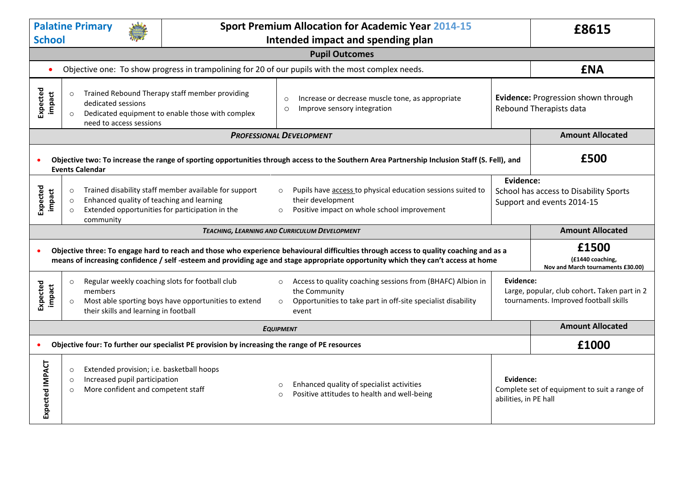| <b>Palatine Primary</b><br><b>School</b>                                                                                                                                                                                                                                                                                                                  |                                                                                                                                                                                                                                                                                                                                                              |                                                      | <b>Sport Premium Allocation for Academic Year 2014-15</b><br>Intended impact and spending plan |                                                                                                                                                      |                                    | £8615                                                                                 |  |  |
|-----------------------------------------------------------------------------------------------------------------------------------------------------------------------------------------------------------------------------------------------------------------------------------------------------------------------------------------------------------|--------------------------------------------------------------------------------------------------------------------------------------------------------------------------------------------------------------------------------------------------------------------------------------------------------------------------------------------------------------|------------------------------------------------------|------------------------------------------------------------------------------------------------|------------------------------------------------------------------------------------------------------------------------------------------------------|------------------------------------|---------------------------------------------------------------------------------------|--|--|
| <b>Pupil Outcomes</b>                                                                                                                                                                                                                                                                                                                                     |                                                                                                                                                                                                                                                                                                                                                              |                                                      |                                                                                                |                                                                                                                                                      |                                    |                                                                                       |  |  |
| $\bullet$                                                                                                                                                                                                                                                                                                                                                 | Objective one: To show progress in trampolining for 20 of our pupils with the most complex needs.                                                                                                                                                                                                                                                            |                                                      |                                                                                                |                                                                                                                                                      |                                    | <b>ENA</b>                                                                            |  |  |
| Expected<br>impact                                                                                                                                                                                                                                                                                                                                        | Trained Rebound Therapy staff member providing<br>$\circ$<br>Increase or decrease muscle tone, as appropriate<br>$\circ$<br>dedicated sessions<br>Improve sensory integration<br>$\circ$<br>Dedicated equipment to enable those with complex<br>$\circ$<br>need to access sessions                                                                           |                                                      | Evidence: Progression shown through<br>Rebound Therapists data                                 |                                                                                                                                                      |                                    |                                                                                       |  |  |
| <b>PROFESSIONAL DEVELOPMENT</b>                                                                                                                                                                                                                                                                                                                           |                                                                                                                                                                                                                                                                                                                                                              |                                                      |                                                                                                |                                                                                                                                                      |                                    | <b>Amount Allocated</b>                                                               |  |  |
| £500<br>Objective two: To increase the range of sporting opportunities through access to the Southern Area Partnership Inclusion Staff (S. Fell), and<br><b>Events Calendar</b>                                                                                                                                                                           |                                                                                                                                                                                                                                                                                                                                                              |                                                      |                                                                                                |                                                                                                                                                      |                                    |                                                                                       |  |  |
| Expected<br>impact                                                                                                                                                                                                                                                                                                                                        | Trained disability staff member available for support<br>Pupils have access to physical education sessions suited to<br>$\circ$<br>$\circ$<br>Enhanced quality of teaching and learning<br>their development<br>$\circ$<br>Extended opportunities for participation in the<br>Positive impact on whole school improvement<br>$\circ$<br>$\circ$<br>community |                                                      |                                                                                                |                                                                                                                                                      | Evidence:                          | School has access to Disability Sports<br>Support and events 2014-15                  |  |  |
|                                                                                                                                                                                                                                                                                                                                                           | <b>Amount Allocated</b><br>TEACHING, LEARNING AND CURRICULUM DEVELOPMENT                                                                                                                                                                                                                                                                                     |                                                      |                                                                                                |                                                                                                                                                      |                                    |                                                                                       |  |  |
| £1500<br>Objective three: To engage hard to reach and those who experience behavioural difficulties through access to quality coaching and as a<br>$\bullet$<br>(£1440 coaching,<br>means of increasing confidence / self-esteem and providing age and stage appropriate opportunity which they can't access at home<br>Nov and March tournaments £30.00) |                                                                                                                                                                                                                                                                                                                                                              |                                                      |                                                                                                |                                                                                                                                                      |                                    |                                                                                       |  |  |
| Expected<br>impact                                                                                                                                                                                                                                                                                                                                        | Regular weekly coaching slots for football club<br>$\circ$<br>members<br>$\circ$<br>their skills and learning in football                                                                                                                                                                                                                                    | Most able sporting boys have opportunities to extend | $\circ$<br>$\circ$                                                                             | Access to quality coaching sessions from (BHAFC) Albion in<br>the Community<br>Opportunities to take part in off-site specialist disability<br>event | Evidence:                          | Large, popular, club cohort. Taken part in 2<br>tournaments. Improved football skills |  |  |
| <b>EQUIPMENT</b>                                                                                                                                                                                                                                                                                                                                          |                                                                                                                                                                                                                                                                                                                                                              |                                                      |                                                                                                |                                                                                                                                                      |                                    | <b>Amount Allocated</b>                                                               |  |  |
| Objective four: To further our specialist PE provision by increasing the range of PE resources<br>$\bullet$                                                                                                                                                                                                                                               |                                                                                                                                                                                                                                                                                                                                                              |                                                      |                                                                                                |                                                                                                                                                      |                                    | £1000                                                                                 |  |  |
| Expected IMPACT                                                                                                                                                                                                                                                                                                                                           | Extended provision; i.e. basketball hoops<br>$\circ$<br>Increased pupil participation<br>$\circ$<br>More confident and competent staff<br>$\circ$                                                                                                                                                                                                            |                                                      | $\Omega$<br>$\circ$                                                                            | Enhanced quality of specialist activities<br>Positive attitudes to health and well-being                                                             | Evidence:<br>abilities, in PE hall | Complete set of equipment to suit a range of                                          |  |  |